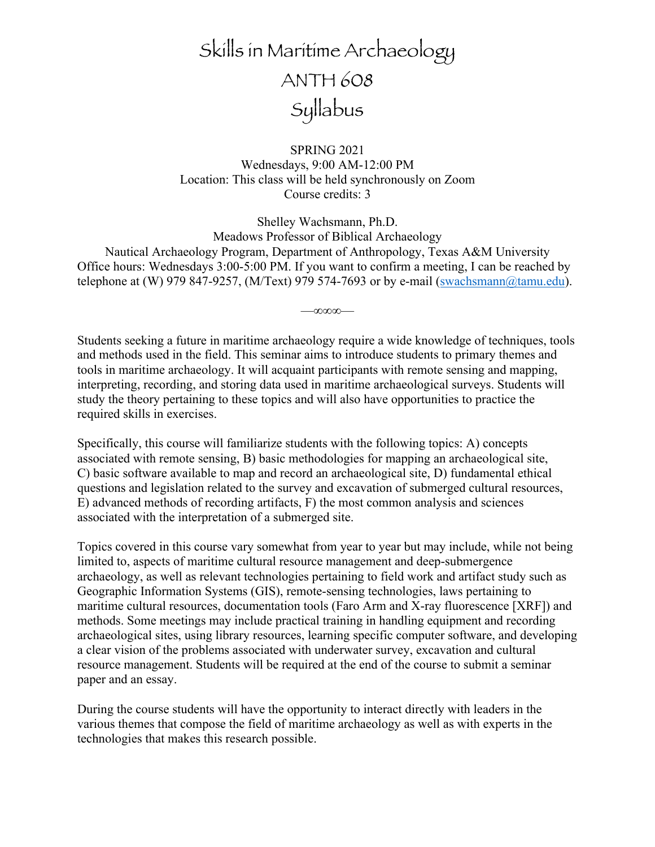# Skills in Maritime Archaeology ANTH 608 Syllabus

SPRING 2021 Wednesdays, 9:00 AM-12:00 PM Location: This class will be held synchronously on Zoom Course credits: 3

Shelley Wachsmann, Ph.D. Meadows Professor of Biblical Archaeology Nautical Archaeology Program, Department of Anthropology, Texas A&M University Office hours: Wednesdays 3:00-5:00 PM. If you want to confirm a meeting, I can be reached by telephone at (W) 979 847-9257, (M/Text) 979 574-7693 or by e-mail (swachsmann@tamu.edu).

—∞∞∞—

Students seeking a future in maritime archaeology require a wide knowledge of techniques, tools and methods used in the field. This seminar aims to introduce students to primary themes and tools in maritime archaeology. It will acquaint participants with remote sensing and mapping, interpreting, recording, and storing data used in maritime archaeological surveys. Students will study the theory pertaining to these topics and will also have opportunities to practice the required skills in exercises.

Specifically, this course will familiarize students with the following topics: A) concepts associated with remote sensing, B) basic methodologies for mapping an archaeological site, C) basic software available to map and record an archaeological site, D) fundamental ethical questions and legislation related to the survey and excavation of submerged cultural resources, E) advanced methods of recording artifacts, F) the most common analysis and sciences associated with the interpretation of a submerged site.

Topics covered in this course vary somewhat from year to year but may include, while not being limited to, aspects of maritime cultural resource management and deep-submergence archaeology, as well as relevant technologies pertaining to field work and artifact study such as Geographic Information Systems (GIS), remote-sensing technologies, laws pertaining to maritime cultural resources, documentation tools (Faro Arm and X-ray fluorescence [XRF]) and methods. Some meetings may include practical training in handling equipment and recording archaeological sites, using library resources, learning specific computer software, and developing a clear vision of the problems associated with underwater survey, excavation and cultural resource management. Students will be required at the end of the course to submit a seminar paper and an essay.

During the course students will have the opportunity to interact directly with leaders in the various themes that compose the field of maritime archaeology as well as with experts in the technologies that makes this research possible.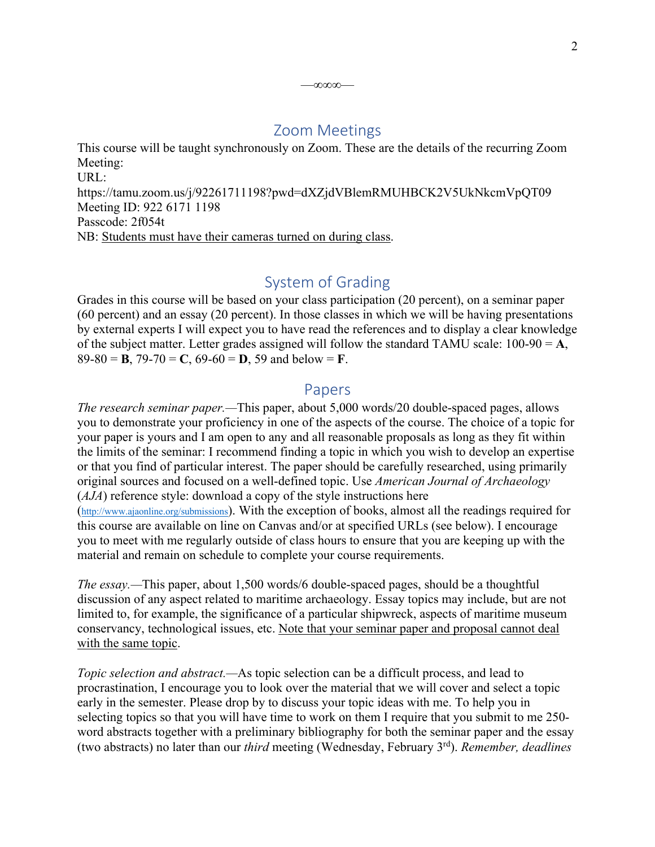## Zoom Meetings

—∞∞∞—

This course will be taught synchronously on Zoom. These are the details of the recurring Zoom Meeting:

URL: https://tamu.zoom.us/j/92261711198?pwd=dXZjdVBlemRMUHBCK2V5UkNkcmVpQT09 Meeting ID: 922 6171 1198 Passcode: 2f054t NB: Students must have their cameras turned on during class.

# System of Grading

Grades in this course will be based on your class participation (20 percent), on a seminar paper (60 percent) and an essay (20 percent). In those classes in which we will be having presentations by external experts I will expect you to have read the references and to display a clear knowledge of the subject matter. Letter grades assigned will follow the standard TAMU scale: 100-90 = **A**, 89-80 = **B**, 79-70 = **C**, 69-60 = **D**, 59 and below = **F**.

## Papers

*The research seminar paper.—*This paper, about 5,000 words/20 double-spaced pages, allows you to demonstrate your proficiency in one of the aspects of the course. The choice of a topic for your paper is yours and I am open to any and all reasonable proposals as long as they fit within the limits of the seminar: I recommend finding a topic in which you wish to develop an expertise or that you find of particular interest. The paper should be carefully researched, using primarily original sources and focused on a well-defined topic. Use *American Journal of Archaeology* (*AJA*) reference style: download a copy of the style instructions here (http://www.ajaonline.org/submissions). With the exception of books, almost all the readings required for this course are available on line on Canvas and/or at specified URLs (see below). I encourage you to meet with me regularly outside of class hours to ensure that you are keeping up with the material and remain on schedule to complete your course requirements.

*The essay.—*This paper, about 1,500 words/6 double-spaced pages, should be a thoughtful discussion of any aspect related to maritime archaeology. Essay topics may include, but are not limited to, for example, the significance of a particular shipwreck, aspects of maritime museum conservancy, technological issues, etc. Note that your seminar paper and proposal cannot deal with the same topic.

*Topic selection and abstract.—*As topic selection can be a difficult process, and lead to procrastination, I encourage you to look over the material that we will cover and select a topic early in the semester. Please drop by to discuss your topic ideas with me. To help you in selecting topics so that you will have time to work on them I require that you submit to me 250 word abstracts together with a preliminary bibliography for both the seminar paper and the essay (two abstracts) no later than our *third* meeting (Wednesday, February 3rd). *Remember, deadlines*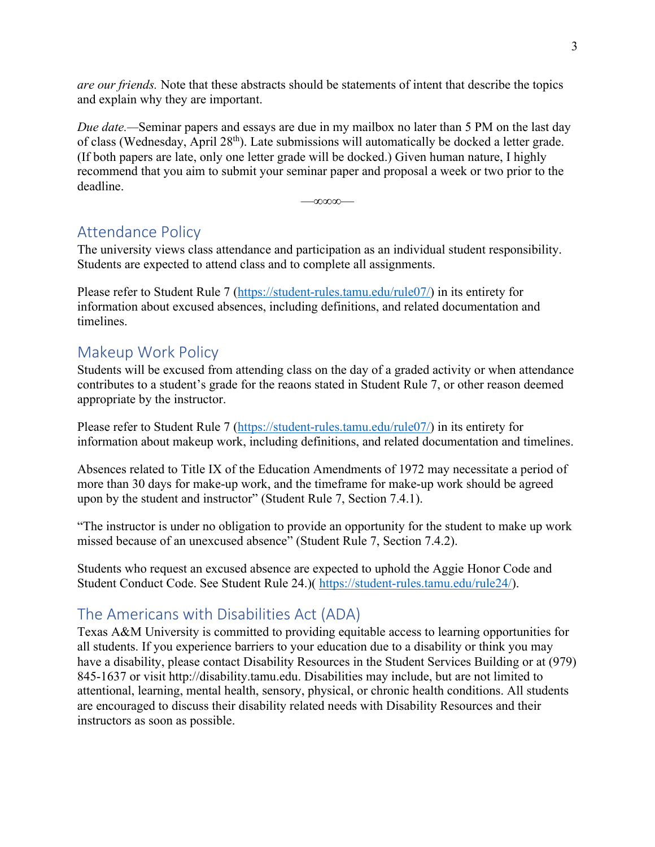*are our friends.* Note that these abstracts should be statements of intent that describe the topics and explain why they are important.

*Due date.*—Seminar papers and essays are due in my mailbox no later than 5 PM on the last day of class (Wednesday, April 28<sup>th</sup>). Late submissions will automatically be docked a letter grade. (If both papers are late, only one letter grade will be docked.) Given human nature, I highly recommend that you aim to submit your seminar paper and proposal a week or two prior to the deadline.

—∞∞∞—

## Attendance Policy

The university views class attendance and participation as an individual student responsibility. Students are expected to attend class and to complete all assignments.

Please refer to Student Rule 7 (https://student-rules.tamu.edu/rule07/) in its entirety for information about excused absences, including definitions, and related documentation and timelines.

## Makeup Work Policy

Students will be excused from attending class on the day of a graded activity or when attendance contributes to a student's grade for the reaons stated in Student Rule 7, or other reason deemed appropriate by the instructor.

Please refer to Student Rule 7 (https://student-rules.tamu.edu/rule07/) in its entirety for information about makeup work, including definitions, and related documentation and timelines.

Absences related to Title IX of the Education Amendments of 1972 may necessitate a period of more than 30 days for make-up work, and the timeframe for make-up work should be agreed upon by the student and instructor" (Student Rule 7, Section 7.4.1).

"The instructor is under no obligation to provide an opportunity for the student to make up work missed because of an unexcused absence" (Student Rule 7, Section 7.4.2).

Students who request an excused absence are expected to uphold the Aggie Honor Code and Student Conduct Code. See Student Rule 24.)( https://student-rules.tamu.edu/rule24/).

# The Americans with Disabilities Act (ADA)

Texas A&M University is committed to providing equitable access to learning opportunities for all students. If you experience barriers to your education due to a disability or think you may have a disability, please contact Disability Resources in the Student Services Building or at (979) 845-1637 or visit http://disability.tamu.edu. Disabilities may include, but are not limited to attentional, learning, mental health, sensory, physical, or chronic health conditions. All students are encouraged to discuss their disability related needs with Disability Resources and their instructors as soon as possible.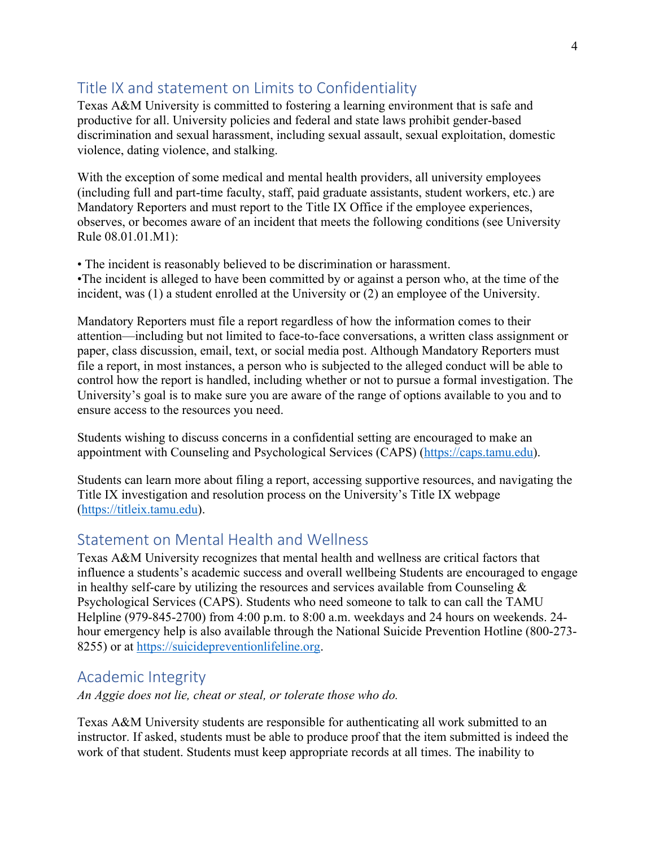# Title IX and statement on Limits to Confidentiality

Texas A&M University is committed to fostering a learning environment that is safe and productive for all. University policies and federal and state laws prohibit gender-based discrimination and sexual harassment, including sexual assault, sexual exploitation, domestic violence, dating violence, and stalking.

With the exception of some medical and mental health providers, all university employees (including full and part-time faculty, staff, paid graduate assistants, student workers, etc.) are Mandatory Reporters and must report to the Title IX Office if the employee experiences, observes, or becomes aware of an incident that meets the following conditions (see University Rule 08.01.01.M1):

• The incident is reasonably believed to be discrimination or harassment.

•The incident is alleged to have been committed by or against a person who, at the time of the incident, was (1) a student enrolled at the University or (2) an employee of the University.

Mandatory Reporters must file a report regardless of how the information comes to their attention—including but not limited to face-to-face conversations, a written class assignment or paper, class discussion, email, text, or social media post. Although Mandatory Reporters must file a report, in most instances, a person who is subjected to the alleged conduct will be able to control how the report is handled, including whether or not to pursue a formal investigation. The University's goal is to make sure you are aware of the range of options available to you and to ensure access to the resources you need.

Students wishing to discuss concerns in a confidential setting are encouraged to make an appointment with Counseling and Psychological Services (CAPS) (https://caps.tamu.edu).

Students can learn more about filing a report, accessing supportive resources, and navigating the Title IX investigation and resolution process on the University's Title IX webpage (https://titleix.tamu.edu).

# Statement on Mental Health and Wellness

Texas A&M University recognizes that mental health and wellness are critical factors that influence a students's academic success and overall wellbeing Students are encouraged to engage in healthy self-care by utilizing the resources and services available from Counseling  $\&$ Psychological Services (CAPS). Students who need someone to talk to can call the TAMU Helpline (979-845-2700) from 4:00 p.m. to 8:00 a.m. weekdays and 24 hours on weekends. 24 hour emergency help is also available through the National Suicide Prevention Hotline (800-273- 8255) or at https://suicidepreventionlifeline.org.

# Academic Integrity

*An Aggie does not lie, cheat or steal, or tolerate those who do.*

Texas A&M University students are responsible for authenticating all work submitted to an instructor. If asked, students must be able to produce proof that the item submitted is indeed the work of that student. Students must keep appropriate records at all times. The inability to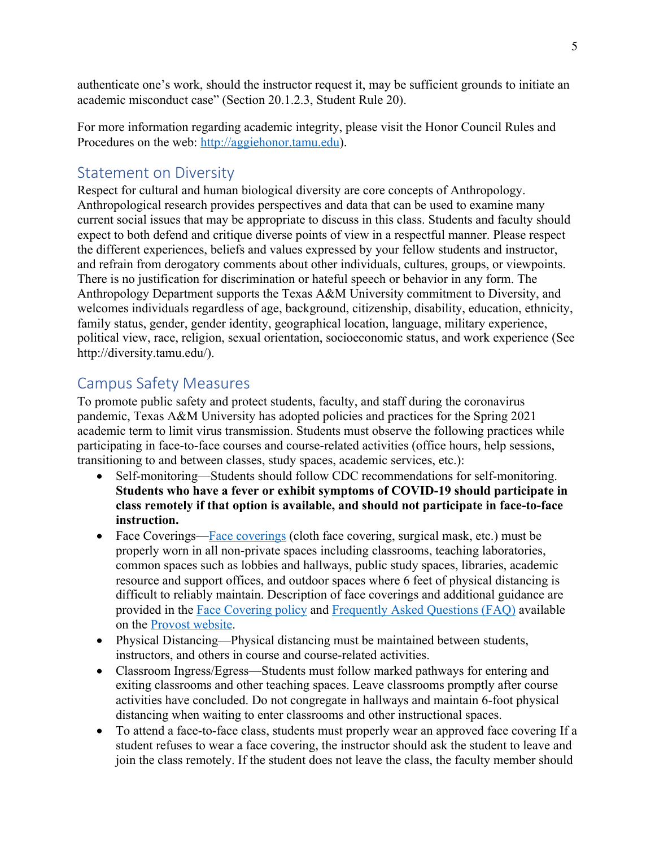authenticate one's work, should the instructor request it, may be sufficient grounds to initiate an academic misconduct case" (Section 20.1.2.3, Student Rule 20).

For more information regarding academic integrity, please visit the Honor Council Rules and Procedures on the web: http://aggiehonor.tamu.edu).

# Statement on Diversity

Respect for cultural and human biological diversity are core concepts of Anthropology. Anthropological research provides perspectives and data that can be used to examine many current social issues that may be appropriate to discuss in this class. Students and faculty should expect to both defend and critique diverse points of view in a respectful manner. Please respect the different experiences, beliefs and values expressed by your fellow students and instructor, and refrain from derogatory comments about other individuals, cultures, groups, or viewpoints. There is no justification for discrimination or hateful speech or behavior in any form. The Anthropology Department supports the Texas A&M University commitment to Diversity, and welcomes individuals regardless of age, background, citizenship, disability, education, ethnicity, family status, gender, gender identity, geographical location, language, military experience, political view, race, religion, sexual orientation, socioeconomic status, and work experience (See http://diversity.tamu.edu/).

# Campus Safety Measures

To promote public safety and protect students, faculty, and staff during the coronavirus pandemic, Texas A&M University has adopted policies and practices for the Spring 2021 academic term to limit virus transmission. Students must observe the following practices while participating in face-to-face courses and course-related activities (office hours, help sessions, transitioning to and between classes, study spaces, academic services, etc.):

- Self-monitoring—Students should follow CDC recommendations for self-monitoring. **Students who have a fever or exhibit symptoms of COVID-19 should participate in class remotely if that option is available, and should not participate in face-to-face instruction.**
- Face Coverings—Face coverings (cloth face covering, surgical mask, etc.) must be properly worn in all non-private spaces including classrooms, teaching laboratories, common spaces such as lobbies and hallways, public study spaces, libraries, academic resource and support offices, and outdoor spaces where 6 feet of physical distancing is difficult to reliably maintain. Description of face coverings and additional guidance are provided in the Face Covering policy and Frequently Asked Questions (FAQ) available on the Provost website.
- Physical Distancing—Physical distancing must be maintained between students, instructors, and others in course and course-related activities.
- Classroom Ingress/Egress—Students must follow marked pathways for entering and exiting classrooms and other teaching spaces. Leave classrooms promptly after course activities have concluded. Do not congregate in hallways and maintain 6-foot physical distancing when waiting to enter classrooms and other instructional spaces.
- To attend a face-to-face class, students must properly wear an approved face covering If a student refuses to wear a face covering, the instructor should ask the student to leave and join the class remotely. If the student does not leave the class, the faculty member should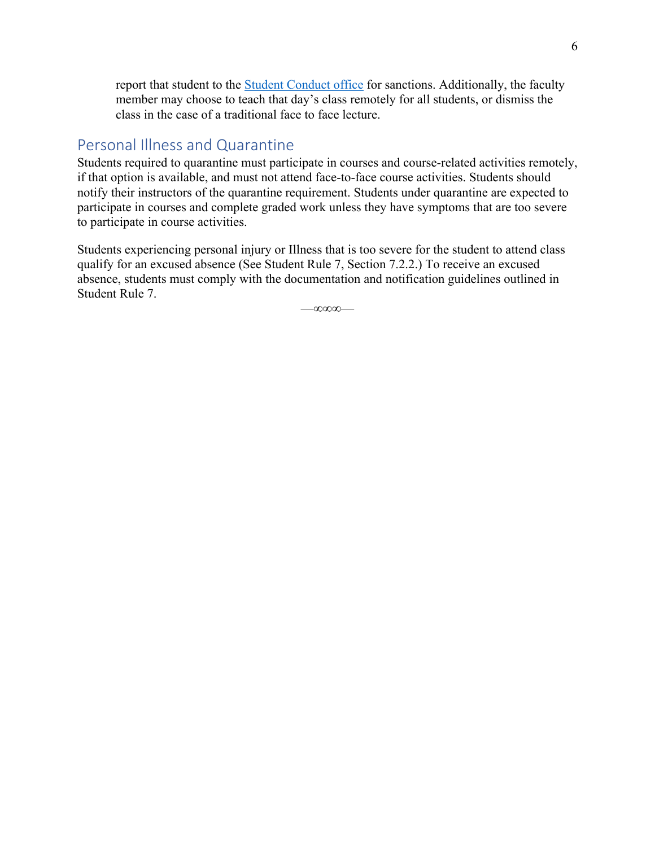report that student to the Student Conduct office for sanctions. Additionally, the faculty member may choose to teach that day's class remotely for all students, or dismiss the class in the case of a traditional face to face lecture.

## Personal Illness and Quarantine

Students required to quarantine must participate in courses and course-related activities remotely, if that option is available, and must not attend face-to-face course activities. Students should notify their instructors of the quarantine requirement. Students under quarantine are expected to participate in courses and complete graded work unless they have symptoms that are too severe to participate in course activities.

Students experiencing personal injury or Illness that is too severe for the student to attend class qualify for an excused absence (See Student Rule 7, Section 7.2.2.) To receive an excused absence, students must comply with the documentation and notification guidelines outlined in Student Rule 7.

—∞∞∞—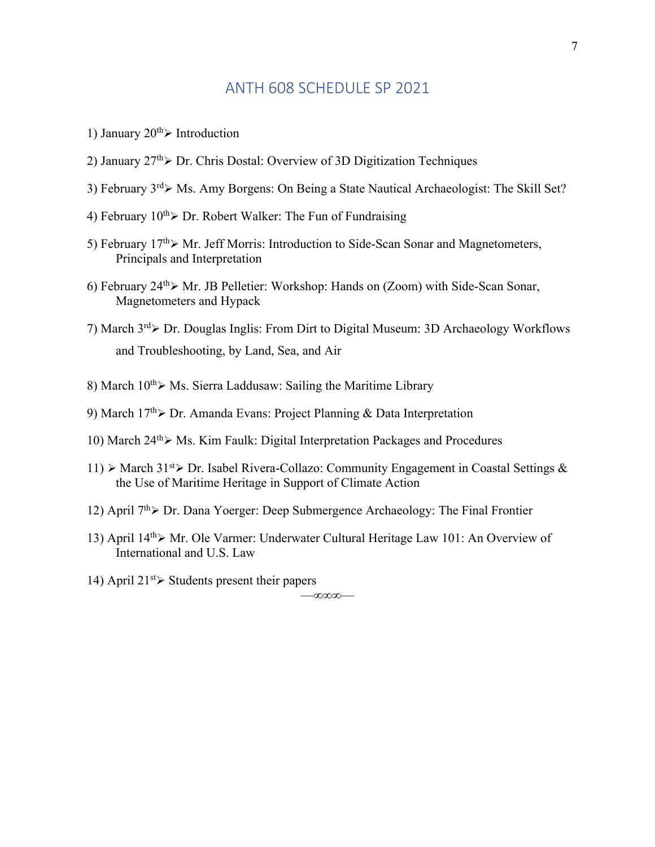## ANTH 608 SCHEDULE SP 2021

- 1) January  $20^{th}$  Introduction
- 2) January  $27^{th}$  Dr. Chris Dostal: Overview of 3D Digitization Techniques
- 3) February  $3^{rd}$  Ms. Amy Borgens: On Being a State Nautical Archaeologist: The Skill Set?
- 4) February  $10^{th}$  Dr. Robert Walker: The Fun of Fundraising
- 5) February  $17<sup>th</sup>$  Mr. Jeff Morris: Introduction to Side-Scan Sonar and Magnetometers, Principals and Interpretation
- 6) February  $24^{th}$  $\triangleright$  Mr. JB Pelletier: Workshop: Hands on (Zoom) with Side-Scan Sonar, Magnetometers and Hypack
- 7) March  $3^{rd}$  Dr. Douglas Inglis: From Dirt to Digital Museum: 3D Archaeology Workflows and Troubleshooting, by Land, Sea, and Air
- 8) March  $10^{th}$  Ms. Sierra Laddusaw: Sailing the Maritime Library
- 9) March  $17<sup>th</sup>$  Dr. Amanda Evans: Project Planning & Data Interpretation
- 10) March  $24^{th}$  $>$  Ms. Kim Faulk: Digital Interpretation Packages and Procedures
- 11)  $\triangleright$  March 31<sup>st</sup> $\triangleright$  Dr. Isabel Rivera-Collazo: Community Engagement in Coastal Settings & the Use of Maritime Heritage in Support of Climate Action
- 12) April  $7<sup>th</sup>$  Dr. Dana Yoerger: Deep Submergence Archaeology: The Final Frontier
- 13) April  $14^{th}$ Mr. Ole Varmer: Underwater Cultural Heritage Law 101: An Overview of International and U.S. Law

—∞∞∞—

14) April  $21^{st}$  Students present their papers

7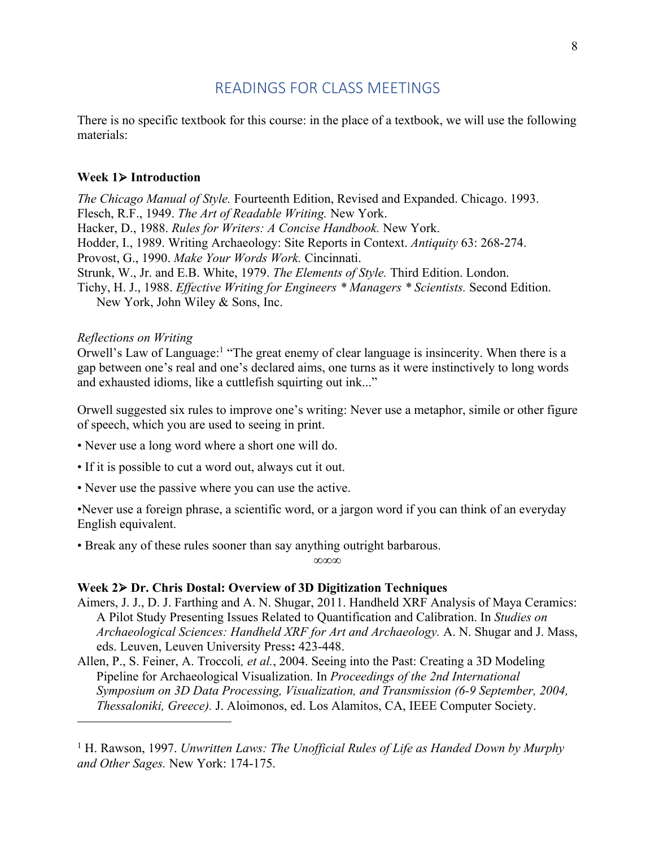## READINGS FOR CLASS MEETINGS

There is no specific textbook for this course: in the place of a textbook, we will use the following materials:

#### **Week 1**Ø **Introduction**

*The Chicago Manual of Style.* Fourteenth Edition, Revised and Expanded. Chicago. 1993. Flesch, R.F., 1949. *The Art of Readable Writing.* New York. Hacker, D., 1988. *Rules for Writers: A Concise Handbook.* New York. Hodder, I., 1989. Writing Archaeology: Site Reports in Context. *Antiquity* 63: 268-274. Provost, G., 1990. *Make Your Words Work.* Cincinnati. Strunk, W., Jr. and E.B. White, 1979. *The Elements of Style.* Third Edition. London. Tichy, H. J., 1988. *Effective Writing for Engineers \* Managers \* Scientists.* Second Edition. New York, John Wiley & Sons, Inc.

*Reflections on Writing*

Orwell's Law of Language:<sup>1</sup> "The great enemy of clear language is insincerity. When there is a gap between one's real and one's declared aims, one turns as it were instinctively to long words and exhausted idioms, like a cuttlefish squirting out ink..."

Orwell suggested six rules to improve one's writing: Never use a metaphor, simile or other figure of speech, which you are used to seeing in print.

- Never use a long word where a short one will do.
- If it is possible to cut a word out, always cut it out.
- Never use the passive where you can use the active.

•Never use a foreign phrase, a scientific word, or a jargon word if you can think of an everyday English equivalent.

• Break any of these rules sooner than say anything outright barbarous.

∞∞∞

#### **Week 2**Ø **Dr. Chris Dostal: Overview of 3D Digitization Techniques**

- Aimers, J. J., D. J. Farthing and A. N. Shugar, 2011. Handheld XRF Analysis of Maya Ceramics: A Pilot Study Presenting Issues Related to Quantification and Calibration. In *Studies on Archaeological Sciences: Handheld XRF for Art and Archaeology.* A. N. Shugar and J. Mass, eds. Leuven, Leuven University Press**:** 423-448.
- Allen, P., S. Feiner, A. Troccoli*, et al.*, 2004. Seeing into the Past: Creating a 3D Modeling Pipeline for Archaeological Visualization. In *Proceedings of the 2nd International Symposium on 3D Data Processing, Visualization, and Transmission (6-9 September, 2004, Thessaloniki, Greece).* J. Aloimonos, ed. Los Alamitos, CA, IEEE Computer Society.

<sup>1</sup> H. Rawson, 1997. *Unwritten Laws: The Unofficial Rules of Life as Handed Down by Murphy and Other Sages.* New York: 174-175.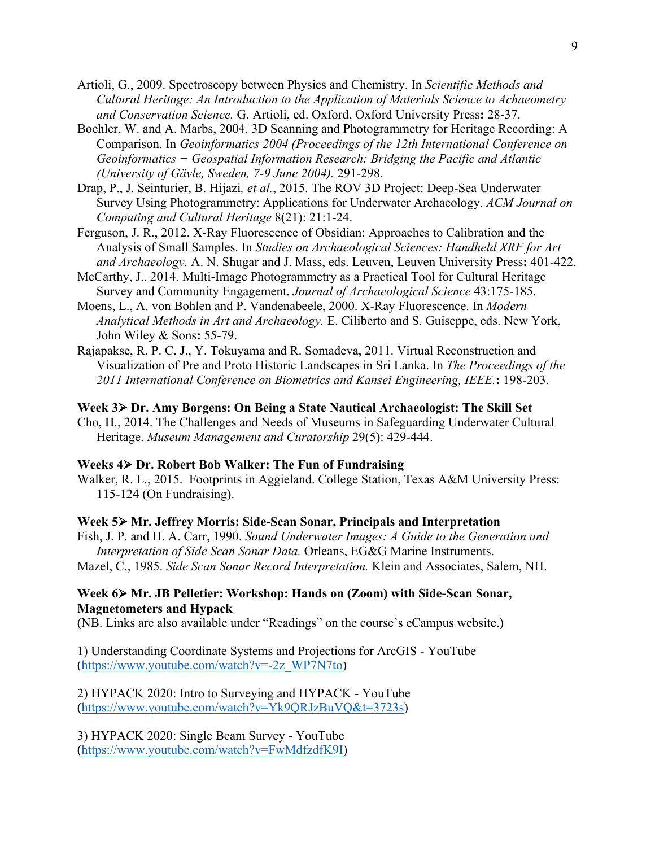- Artioli, G., 2009. Spectroscopy between Physics and Chemistry. In *Scientific Methods and Cultural Heritage: An Introduction to the Application of Materials Science to Achaeometry and Conservation Science.* G. Artioli, ed. Oxford, Oxford University Press**:** 28-37.
- Boehler, W. and A. Marbs, 2004. 3D Scanning and Photogrammetry for Heritage Recording: A Comparison. In *Geoinformatics 2004 (Proceedings of the 12th International Conference on Geoinformatics − Geospatial Information Research: Bridging the Pacific and Atlantic (University of Gävle, Sweden, 7-9 June 2004).* 291-298.
- Drap, P., J. Seinturier, B. Hijazi*, et al.*, 2015. The ROV 3D Project: Deep-Sea Underwater Survey Using Photogrammetry: Applications for Underwater Archaeology. *ACM Journal on Computing and Cultural Heritage* 8(21): 21:1-24.
- Ferguson, J. R., 2012. X-Ray Fluorescence of Obsidian: Approaches to Calibration and the Analysis of Small Samples. In *Studies on Archaeological Sciences: Handheld XRF for Art and Archaeology.* A. N. Shugar and J. Mass, eds. Leuven, Leuven University Press**:** 401-422.
- McCarthy, J., 2014. Multi-Image Photogrammetry as a Practical Tool for Cultural Heritage Survey and Community Engagement. *Journal of Archaeological Science* 43:175-185.
- Moens, L., A. von Bohlen and P. Vandenabeele, 2000. X-Ray Fluorescence. In *Modern Analytical Methods in Art and Archaeology.* E. Ciliberto and S. Guiseppe, eds. New York, John Wiley & Sons**:** 55-79.
- Rajapakse, R. P. C. J., Y. Tokuyama and R. Somadeva, 2011. Virtual Reconstruction and Visualization of Pre and Proto Historic Landscapes in Sri Lanka. In *The Proceedings of the 2011 International Conference on Biometrics and Kansei Engineering, IEEE.***:** 198-203.

#### **Week 3**Ø **Dr. Amy Borgens: On Being a State Nautical Archaeologist: The Skill Set**

Cho, H., 2014. The Challenges and Needs of Museums in Safeguarding Underwater Cultural Heritage. *Museum Management and Curatorship* 29(5): 429-444.

#### **Weeks 4**Ø **Dr. Robert Bob Walker: The Fun of Fundraising**

Walker, R. L., 2015. Footprints in Aggieland. College Station, Texas A&M University Press: 115-124 (On Fundraising).

#### **Week 5**Ø **Mr. Jeffrey Morris: Side-Scan Sonar, Principals and Interpretation**

Fish, J. P. and H. A. Carr, 1990. *Sound Underwater Images: A Guide to the Generation and Interpretation of Side Scan Sonar Data.* Orleans, EG&G Marine Instruments. Mazel, C., 1985. *Side Scan Sonar Record Interpretation.* Klein and Associates, Salem, NH.

#### **Week 6**Ø **Mr. JB Pelletier: Workshop: Hands on (Zoom) with Side-Scan Sonar, Magnetometers and Hypack**

(NB. Links are also available under "Readings" on the course's eCampus website.)

1) Understanding Coordinate Systems and Projections for ArcGIS - YouTube (https://www.youtube.com/watch?v=-2z\_WP7N7to)

2) HYPACK 2020: Intro to Surveying and HYPACK - YouTube (https://www.youtube.com/watch?v=Yk9QRJzBuVQ&t=3723s)

3) HYPACK 2020: Single Beam Survey - YouTube (https://www.youtube.com/watch?v=FwMdfzdfK9I)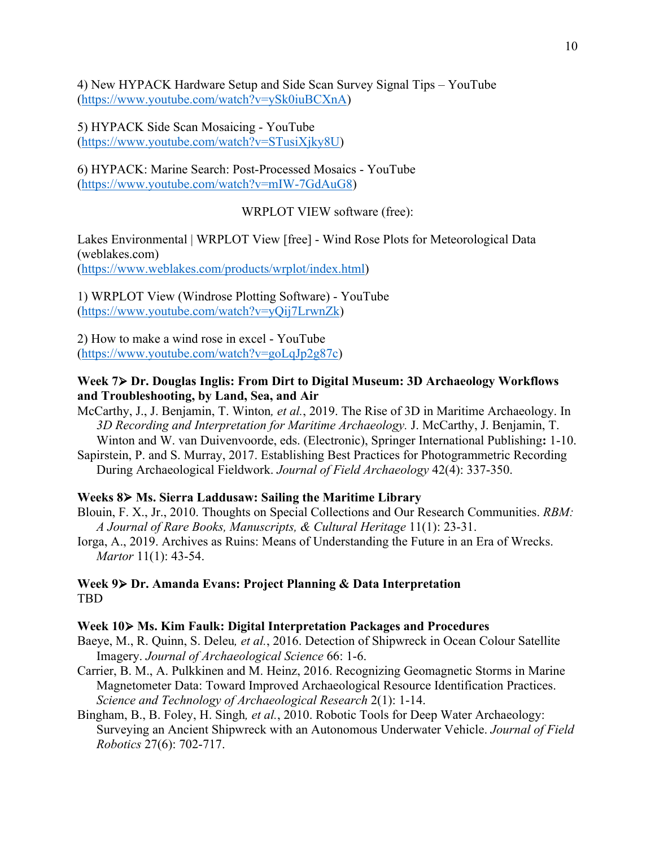4) New HYPACK Hardware Setup and Side Scan Survey Signal Tips – YouTube (https://www.youtube.com/watch?v=ySk0iuBCXnA)

5) HYPACK Side Scan Mosaicing - YouTube (https://www.youtube.com/watch?v=STusiXjky8U)

6) HYPACK: Marine Search: Post-Processed Mosaics - YouTube (https://www.youtube.com/watch?v=mIW-7GdAuG8)

WRPLOT VIEW software (free):

Lakes Environmental | WRPLOT View [free] - Wind Rose Plots for Meteorological Data (weblakes.com) (https://www.weblakes.com/products/wrplot/index.html)

1) WRPLOT View (Windrose Plotting Software) - YouTube (https://www.youtube.com/watch?v=yQij7LrwnZk)

2) How to make a wind rose in excel - YouTube (https://www.youtube.com/watch?v=goLqJp2g87c)

#### **Week 7**Ø **Dr. Douglas Inglis: From Dirt to Digital Museum: 3D Archaeology Workflows and Troubleshooting, by Land, Sea, and Air**

- McCarthy, J., J. Benjamin, T. Winton*, et al.*, 2019. The Rise of 3D in Maritime Archaeology. In *3D Recording and Interpretation for Maritime Archaeology.* J. McCarthy, J. Benjamin, T. Winton and W. van Duivenvoorde, eds. (Electronic), Springer International Publishing**:** 1-10.
- Sapirstein, P. and S. Murray, 2017. Establishing Best Practices for Photogrammetric Recording During Archaeological Fieldwork. *Journal of Field Archaeology* 42(4): 337-350.

#### **Weeks 8**Ø **Ms. Sierra Laddusaw: Sailing the Maritime Library**

- Blouin, F. X., Jr., 2010. Thoughts on Special Collections and Our Research Communities. *RBM: A Journal of Rare Books, Manuscripts, & Cultural Heritage* 11(1): 23-31.
- Iorga, A., 2019. Archives as Ruins: Means of Understanding the Future in an Era of Wrecks. *Martor* 11(1): 43-54.

#### **Week 9**Ø **Dr. Amanda Evans: Project Planning & Data Interpretation** TBD

#### **Week 10**Ø **Ms. Kim Faulk: Digital Interpretation Packages and Procedures**

- Baeye, M., R. Quinn, S. Deleu*, et al.*, 2016. Detection of Shipwreck in Ocean Colour Satellite Imagery. *Journal of Archaeological Science* 66: 1-6.
- Carrier, B. M., A. Pulkkinen and M. Heinz, 2016. Recognizing Geomagnetic Storms in Marine Magnetometer Data: Toward Improved Archaeological Resource Identification Practices. *Science and Technology of Archaeological Research* 2(1): 1-14.
- Bingham, B., B. Foley, H. Singh*, et al.*, 2010. Robotic Tools for Deep Water Archaeology: Surveying an Ancient Shipwreck with an Autonomous Underwater Vehicle. *Journal of Field Robotics* 27(6): 702-717.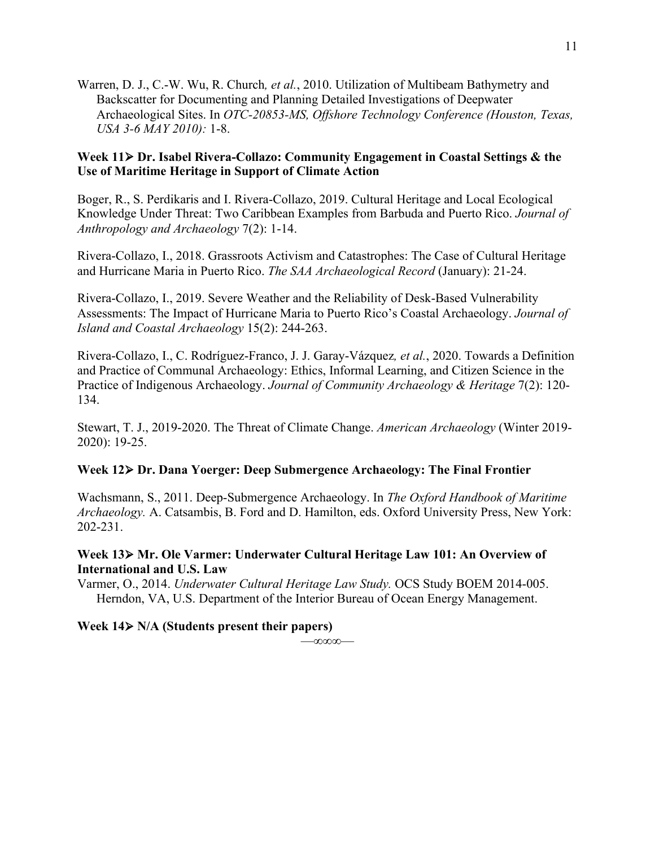Warren, D. J., C.-W. Wu, R. Church*, et al.*, 2010. Utilization of Multibeam Bathymetry and Backscatter for Documenting and Planning Detailed Investigations of Deepwater Archaeological Sites. In *OTC-20853-MS, Offshore Technology Conference (Houston, Texas, USA 3-6 MAY 2010):* 1-8.

#### **Week 11**Ø **Dr. Isabel Rivera-Collazo: Community Engagement in Coastal Settings & the Use of Maritime Heritage in Support of Climate Action**

Boger, R., S. Perdikaris and I. Rivera-Collazo, 2019. Cultural Heritage and Local Ecological Knowledge Under Threat: Two Caribbean Examples from Barbuda and Puerto Rico. *Journal of Anthropology and Archaeology* 7(2): 1-14.

Rivera-Collazo, I., 2018. Grassroots Activism and Catastrophes: The Case of Cultural Heritage and Hurricane Maria in Puerto Rico. *The SAA Archaeological Record* (January): 21-24.

Rivera-Collazo, I., 2019. Severe Weather and the Reliability of Desk-Based Vulnerability Assessments: The Impact of Hurricane Maria to Puerto Rico's Coastal Archaeology. *Journal of Island and Coastal Archaeology* 15(2): 244-263.

Rivera-Collazo, I., C. Rodríguez-Franco, J. J. Garay-Vázquez*, et al.*, 2020. Towards a Definition and Practice of Communal Archaeology: Ethics, Informal Learning, and Citizen Science in the Practice of Indigenous Archaeology. *Journal of Community Archaeology & Heritage* 7(2): 120- 134.

Stewart, T. J., 2019-2020. The Threat of Climate Change. *American Archaeology* (Winter 2019- 2020): 19-25.

#### **Week 12**Ø **Dr. Dana Yoerger: Deep Submergence Archaeology: The Final Frontier**

Wachsmann, S., 2011. Deep-Submergence Archaeology. In *The Oxford Handbook of Maritime Archaeology.* A. Catsambis, B. Ford and D. Hamilton, eds. Oxford University Press, New York: 202-231.

#### **Week 13**Ø **Mr. Ole Varmer: Underwater Cultural Heritage Law 101: An Overview of International and U.S. Law**

Varmer, O., 2014. *Underwater Cultural Heritage Law Study.* OCS Study BOEM 2014-005. Herndon, VA, U.S. Department of the Interior Bureau of Ocean Energy Management.

**Week 14**Ø **N/A (Students present their papers)**

—∞∞∞—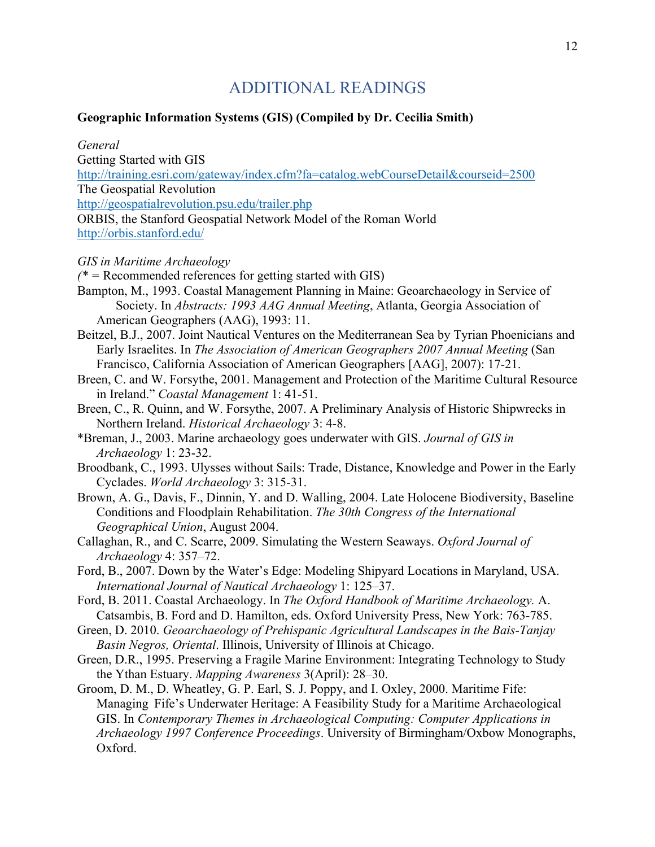# ADDITIONAL READINGS

#### **Geographic Information Systems (GIS) (Compiled by Dr. Cecilia Smith)**

*General* Getting Started with GIS http://training.esri.com/gateway/index.cfm?fa=catalog.webCourseDetail&courseid=2500 The Geospatial Revolution http://geospatialrevolution.psu.edu/trailer.php ORBIS, the Stanford Geospatial Network Model of the Roman World http://orbis.stanford.edu/

#### *GIS in Maritime Archaeology*

*(\* =* Recommended references for getting started with GIS)

Bampton, M., 1993. Coastal Management Planning in Maine: Geoarchaeology in Service of Society. In *Abstracts: 1993 AAG Annual Meeting*, Atlanta, Georgia Association of American Geographers (AAG), 1993: 11.

- Beitzel, B.J., 2007. Joint Nautical Ventures on the Mediterranean Sea by Tyrian Phoenicians and Early Israelites. In *The Association of American Geographers 2007 Annual Meeting* (San Francisco, California Association of American Geographers [AAG], 2007): 17-21.
- Breen, C. and W. Forsythe, 2001. Management and Protection of the Maritime Cultural Resource in Ireland." *Coastal Management* 1: 41-51.

Breen, C., R. Quinn, and W. Forsythe, 2007. A Preliminary Analysis of Historic Shipwrecks in Northern Ireland. *Historical Archaeology* 3: 4-8.

\*Breman, J., 2003. Marine archaeology goes underwater with GIS. *Journal of GIS in Archaeology* 1: 23-32.

Broodbank, C., 1993. Ulysses without Sails: Trade, Distance, Knowledge and Power in the Early Cyclades. *World Archaeology* 3: 315-31.

Brown, A. G., Davis, F., Dinnin, Y. and D. Walling, 2004. Late Holocene Biodiversity, Baseline Conditions and Floodplain Rehabilitation. *The 30th Congress of the International Geographical Union*, August 2004.

Callaghan, R., and C. Scarre, 2009. Simulating the Western Seaways. *Oxford Journal of Archaeology* 4: 357–72.

Ford, B., 2007. Down by the Water's Edge: Modeling Shipyard Locations in Maryland, USA. *International Journal of Nautical Archaeology* 1: 125–37.

Ford, B. 2011. Coastal Archaeology. In *The Oxford Handbook of Maritime Archaeology.* A. Catsambis, B. Ford and D. Hamilton, eds. Oxford University Press, New York: 763-785.

Green, D. 2010. *Geoarchaeology of Prehispanic Agricultural Landscapes in the Bais-Tanjay Basin Negros, Oriental*. Illinois, University of Illinois at Chicago.

Green, D.R., 1995. Preserving a Fragile Marine Environment: Integrating Technology to Study the Ythan Estuary. *Mapping Awareness* 3(April): 28–30.

Groom, D. M., D. Wheatley, G. P. Earl, S. J. Poppy, and I. Oxley, 2000. Maritime Fife: Managing Fife's Underwater Heritage: A Feasibility Study for a Maritime Archaeological GIS. In *Contemporary Themes in Archaeological Computing: Computer Applications in Archaeology 1997 Conference Proceedings*. University of Birmingham/Oxbow Monographs, Oxford.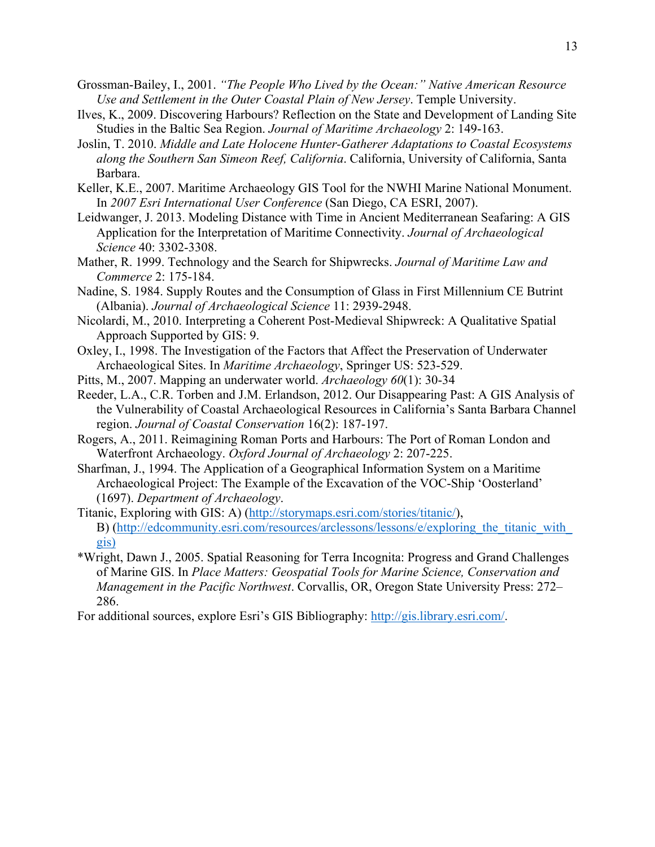- Grossman-Bailey, I., 2001. *"The People Who Lived by the Ocean:" Native American Resource Use and Settlement in the Outer Coastal Plain of New Jersey*. Temple University.
- Ilves, K., 2009. Discovering Harbours? Reflection on the State and Development of Landing Site Studies in the Baltic Sea Region. *Journal of Maritime Archaeology* 2: 149-163.
- Joslin, T. 2010. *Middle and Late Holocene Hunter-Gatherer Adaptations to Coastal Ecosystems along the Southern San Simeon Reef, California*. California, University of California, Santa Barbara.
- Keller, K.E., 2007. Maritime Archaeology GIS Tool for the NWHI Marine National Monument. In *2007 Esri International User Conference* (San Diego, CA ESRI, 2007).
- Leidwanger, J. 2013. Modeling Distance with Time in Ancient Mediterranean Seafaring: A GIS Application for the Interpretation of Maritime Connectivity. *Journal of Archaeological Science* 40: 3302-3308.
- Mather, R. 1999. Technology and the Search for Shipwrecks. *Journal of Maritime Law and Commerce* 2: 175-184.
- Nadine, S. 1984. Supply Routes and the Consumption of Glass in First Millennium CE Butrint (Albania). *Journal of Archaeological Science* 11: 2939-2948.
- Nicolardi, M., 2010. Interpreting a Coherent Post-Medieval Shipwreck: A Qualitative Spatial Approach Supported by GIS: 9.
- Oxley, I., 1998. The Investigation of the Factors that Affect the Preservation of Underwater Archaeological Sites. In *Maritime Archaeology*, Springer US: 523-529.
- Pitts, M., 2007. Mapping an underwater world. *Archaeology 60*(1): 30-34
- Reeder, L.A., C.R. Torben and J.M. Erlandson, 2012. Our Disappearing Past: A GIS Analysis of the Vulnerability of Coastal Archaeological Resources in California's Santa Barbara Channel region. *Journal of Coastal Conservation* 16(2): 187-197.
- Rogers, A., 2011. Reimagining Roman Ports and Harbours: The Port of Roman London and Waterfront Archaeology. *Oxford Journal of Archaeology* 2: 207-225.
- Sharfman, J., 1994. The Application of a Geographical Information System on a Maritime Archaeological Project: The Example of the Excavation of the VOC-Ship 'Oosterland' (1697). *Department of Archaeology*.
- Titanic, Exploring with GIS: A) (http://storymaps.esri.com/stories/titanic/), B) (http://edcommunity.esri.com/resources/arclessons/lessons/e/exploring the titanic with gis)
- \*Wright, Dawn J., 2005. Spatial Reasoning for Terra Incognita: Progress and Grand Challenges of Marine GIS. In *Place Matters: Geospatial Tools for Marine Science, Conservation and Management in the Pacific Northwest*. Corvallis, OR, Oregon State University Press: 272– 286.
- For additional sources, explore Esri's GIS Bibliography: http://gis.library.esri.com/.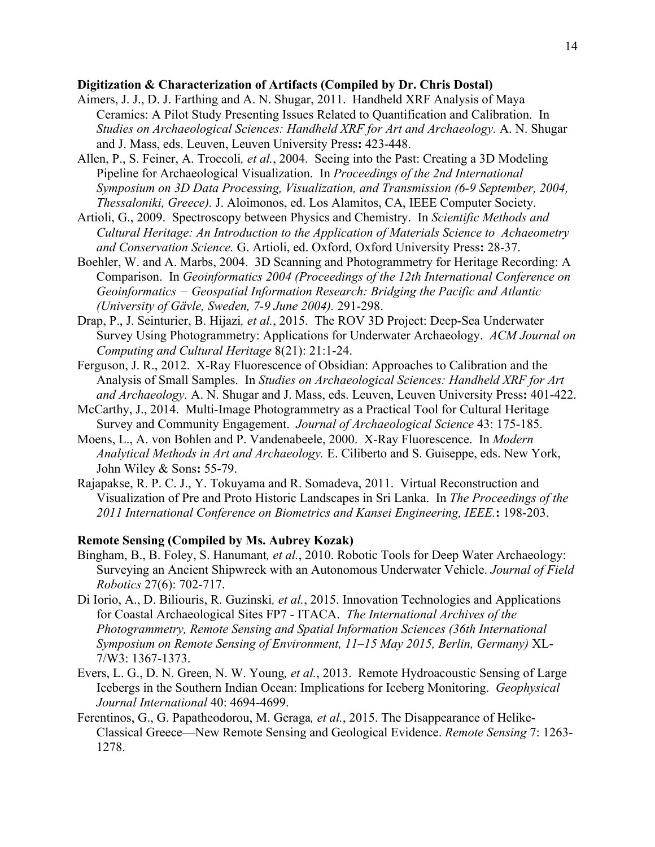#### **Digitization & Characterization of Artifacts (Compiled by Dr. Chris Dostal)**

- Aimers, J. J., D. J. Farthing and A. N. Shugar, 2011. Handheld XRF Analysis of Maya Ceramics: A Pilot Study Presenting Issues Related to Quantification and Calibration. In *Studies on Archaeological Sciences: Handheld XRF for Art and Archaeology.* A. N. Shugar and J. Mass, eds. Leuven, Leuven University Press**:** 423-448.
- Allen, P., S. Feiner, A. Troccoli*, et al.*, 2004. Seeing into the Past: Creating a 3D Modeling Pipeline for Archaeological Visualization. In *Proceedings of the 2nd International Symposium on 3D Data Processing, Visualization, and Transmission (6-9 September, 2004, Thessaloniki, Greece).* J. Aloimonos, ed. Los Alamitos, CA, IEEE Computer Society.
- Artioli, G., 2009. Spectroscopy between Physics and Chemistry. In *Scientific Methods and Cultural Heritage: An Introduction to the Application of Materials Science to Achaeometry and Conservation Science.* G. Artioli, ed. Oxford, Oxford University Press**:** 28-37.
- Boehler, W. and A. Marbs, 2004. 3D Scanning and Photogrammetry for Heritage Recording: A Comparison. In *Geoinformatics 2004 (Proceedings of the 12th International Conference on Geoinformatics − Geospatial Information Research: Bridging the Pacific and Atlantic (University of Gävle, Sweden, 7-9 June 2004).* 291-298.
- Drap, P., J. Seinturier, B. Hijazi*, et al.*, 2015. The ROV 3D Project: Deep-Sea Underwater Survey Using Photogrammetry: Applications for Underwater Archaeology. *ACM Journal on Computing and Cultural Heritage* 8(21): 21:1-24.
- Ferguson, J. R., 2012. X-Ray Fluorescence of Obsidian: Approaches to Calibration and the Analysis of Small Samples. In *Studies on Archaeological Sciences: Handheld XRF for Art and Archaeology.* A. N. Shugar and J. Mass, eds. Leuven, Leuven University Press**:** 401-422.
- McCarthy, J., 2014. Multi-Image Photogrammetry as a Practical Tool for Cultural Heritage Survey and Community Engagement. *Journal of Archaeological Science* 43: 175-185.
- Moens, L., A. von Bohlen and P. Vandenabeele, 2000. X-Ray Fluorescence. In *Modern Analytical Methods in Art and Archaeology.* E. Ciliberto and S. Guiseppe, eds. New York, John Wiley & Sons**:** 55-79.
- Rajapakse, R. P. C. J., Y. Tokuyama and R. Somadeva, 2011. Virtual Reconstruction and Visualization of Pre and Proto Historic Landscapes in Sri Lanka. In *The Proceedings of the 2011 International Conference on Biometrics and Kansei Engineering, IEEE.***:** 198-203.

#### **Remote Sensing (Compiled by Ms. Aubrey Kozak)**

- Bingham, B., B. Foley, S. Hanumant*, et al.*, 2010. Robotic Tools for Deep Water Archaeology: Surveying an Ancient Shipwreck with an Autonomous Underwater Vehicle. *Journal of Field Robotics* 27(6): 702-717.
- Di Iorio, A., D. Biliouris, R. Guzinski*, et al.*, 2015. Innovation Technologies and Applications for Coastal Archaeological Sites FP7 - ITACA. *The International Archives of the Photogrammetry, Remote Sensing and Spatial Information Sciences (36th International Symposium on Remote Sensing of Environment, 11–15 May 2015, Berlin, Germany)* XL-7/W3: 1367-1373.
- Evers, L. G., D. N. Green, N. W. Young*, et al.*, 2013. Remote Hydroacoustic Sensing of Large Icebergs in the Southern Indian Ocean: Implications for Iceberg Monitoring. *Geophysical Journal International* 40: 4694-4699.
- Ferentinos, G., G. Papatheodorou, M. Geraga*, et al.*, 2015. The Disappearance of Helike-Classical Greece—New Remote Sensing and Geological Evidence. *Remote Sensing* 7: 1263- 1278.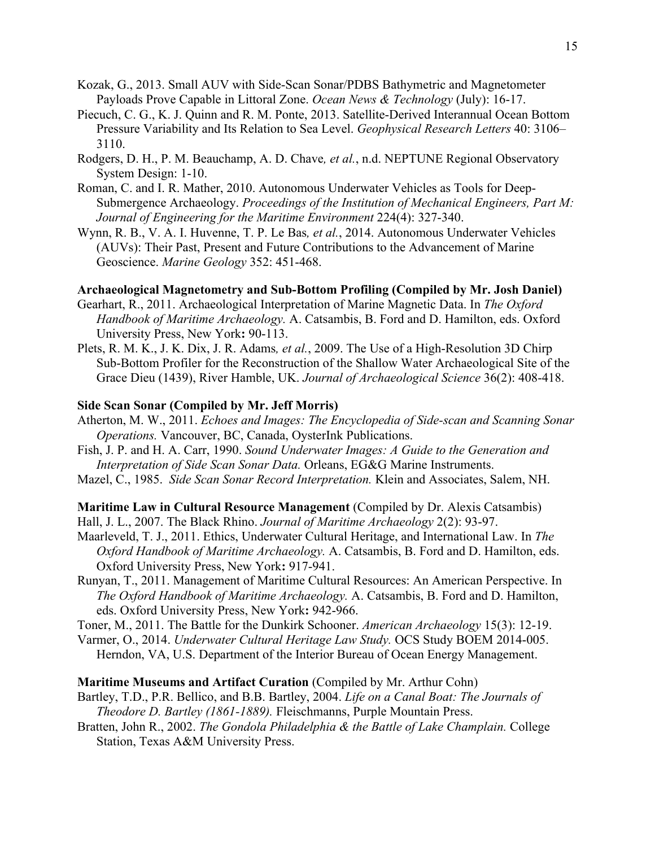- Kozak, G., 2013. Small AUV with Side-Scan Sonar/PDBS Bathymetric and Magnetometer Payloads Prove Capable in Littoral Zone. *Ocean News & Technology* (July): 16-17.
- Piecuch, C. G., K. J. Quinn and R. M. Ponte, 2013. Satellite-Derived Interannual Ocean Bottom Pressure Variability and Its Relation to Sea Level. *Geophysical Research Letters* 40: 3106– 3110.
- Rodgers, D. H., P. M. Beauchamp, A. D. Chave*, et al.*, n.d. NEPTUNE Regional Observatory System Design: 1-10.
- Roman, C. and I. R. Mather, 2010. Autonomous Underwater Vehicles as Tools for Deep-Submergence Archaeology. *Proceedings of the Institution of Mechanical Engineers, Part M: Journal of Engineering for the Maritime Environment* 224(4): 327-340.
- Wynn, R. B., V. A. I. Huvenne, T. P. Le Bas*, et al.*, 2014. Autonomous Underwater Vehicles (AUVs): Their Past, Present and Future Contributions to the Advancement of Marine Geoscience. *Marine Geology* 352: 451-468.

#### **Archaeological Magnetometry and Sub-Bottom Profiling (Compiled by Mr. Josh Daniel)**

- Gearhart, R., 2011. Archaeological Interpretation of Marine Magnetic Data. In *The Oxford Handbook of Maritime Archaeology.* A. Catsambis, B. Ford and D. Hamilton, eds. Oxford University Press, New York**:** 90-113.
- Plets, R. M. K., J. K. Dix, J. R. Adams*, et al.*, 2009. The Use of a High-Resolution 3D Chirp Sub-Bottom Profiler for the Reconstruction of the Shallow Water Archaeological Site of the Grace Dieu (1439), River Hamble, UK. *Journal of Archaeological Science* 36(2): 408-418.

#### **Side Scan Sonar (Compiled by Mr. Jeff Morris)**

- Atherton, M. W., 2011. *Echoes and Images: The Encyclopedia of Side-scan and Scanning Sonar Operations.* Vancouver, BC, Canada, OysterInk Publications.
- Fish, J. P. and H. A. Carr, 1990. *Sound Underwater Images: A Guide to the Generation and Interpretation of Side Scan Sonar Data.* Orleans, EG&G Marine Instruments.
- Mazel, C., 1985. *Side Scan Sonar Record Interpretation.* Klein and Associates, Salem, NH.

#### **Maritime Law in Cultural Resource Management** (Compiled by Dr. Alexis Catsambis)

- Hall, J. L., 2007. The Black Rhino. *Journal of Maritime Archaeology* 2(2): 93-97.
- Maarleveld, T. J., 2011. Ethics, Underwater Cultural Heritage, and International Law. In *The Oxford Handbook of Maritime Archaeology.* A. Catsambis, B. Ford and D. Hamilton, eds. Oxford University Press, New York**:** 917-941.
- Runyan, T., 2011. Management of Maritime Cultural Resources: An American Perspective. In *The Oxford Handbook of Maritime Archaeology.* A. Catsambis, B. Ford and D. Hamilton, eds. Oxford University Press, New York**:** 942-966.
- Toner, M., 2011. The Battle for the Dunkirk Schooner. *American Archaeology* 15(3): 12-19.
- Varmer, O., 2014. *Underwater Cultural Heritage Law Study.* OCS Study BOEM 2014-005. Herndon, VA, U.S. Department of the Interior Bureau of Ocean Energy Management.

#### **Maritime Museums and Artifact Curation** (Compiled by Mr. Arthur Cohn)

- Bartley, T.D., P.R. Bellico, and B.B. Bartley, 2004. *Life on a Canal Boat: The Journals of Theodore D. Bartley (1861-1889).* Fleischmanns, Purple Mountain Press.
- Bratten, John R., 2002. *The Gondola Philadelphia & the Battle of Lake Champlain.* College Station, Texas A&M University Press.